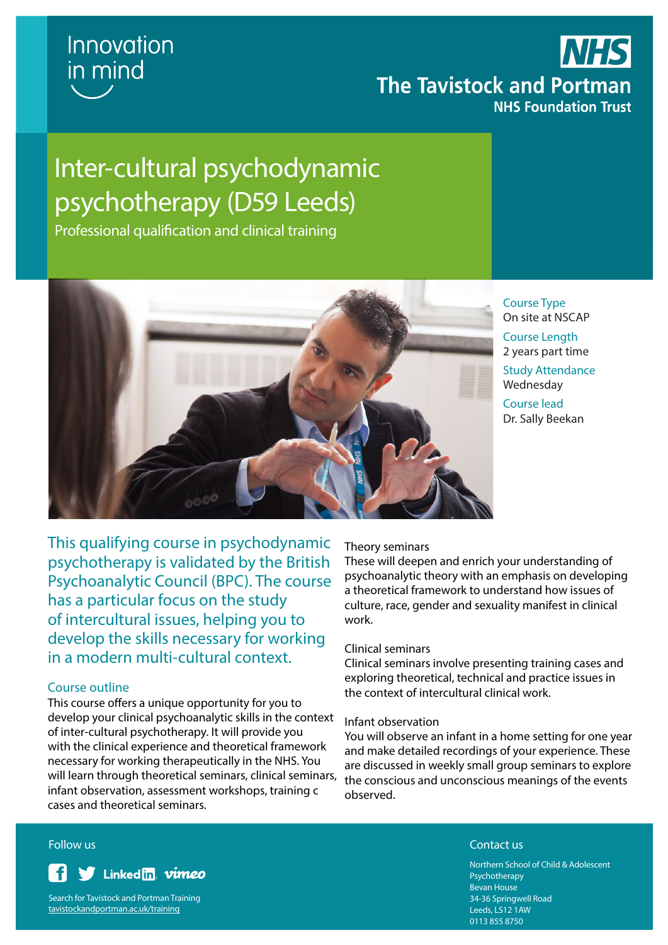

## **NHS The Tavistock and Portman NHS Foundation Trust**

# Inter-cultural psychodynamic psychotherapy (D59 Leeds)

Professional qualification and clinical training



Course Type On site at NSCAP

Course Length 2 years part time Study Attendance

Wednesday

Course lead Dr. Sally Beekan

This qualifying course in psychodynamic psychotherapy is validated by the British Psychoanalytic Council (BPC). The course has a particular focus on the study of intercultural issues, helping you to develop the skills necessary for working in a modern multi-cultural context.

### Course outline

This course offers a unique opportunity for you to develop your clinical psychoanalytic skills in the context of inter-cultural psychotherapy. It will provide you with the clinical experience and theoretical framework necessary for working therapeutically in the NHS. You will learn through theoretical seminars, clinical seminars, infant observation, assessment workshops, training c cases and theoretical seminars.

### Theory seminars

These will deepen and enrich your understanding of psychoanalytic theory with an emphasis on developing a theoretical framework to understand how issues of culture, race, gender and sexuality manifest in clinical work.

### Clinical seminars

Clinical seminars involve presenting training cases and exploring theoretical, technical and practice issues in the context of intercultural clinical work.

### Infant observation

You will observe an infant in a home setting for one year and make detailed recordings of your experience. These are discussed in weekly small group seminars to explore the conscious and unconscious meanings of the events observed.



Search for Tavistock and Portman Training tavistockandportman.ac.uk/training

### **Follow us** Contact us Contact use of the contact use of the contact use of the contact use  $\sim$

Northern School of Child & Adolescent Psychotherapy Bevan House 34-36 Springwell Road Leeds, LS12 1AW 0113 855 8750